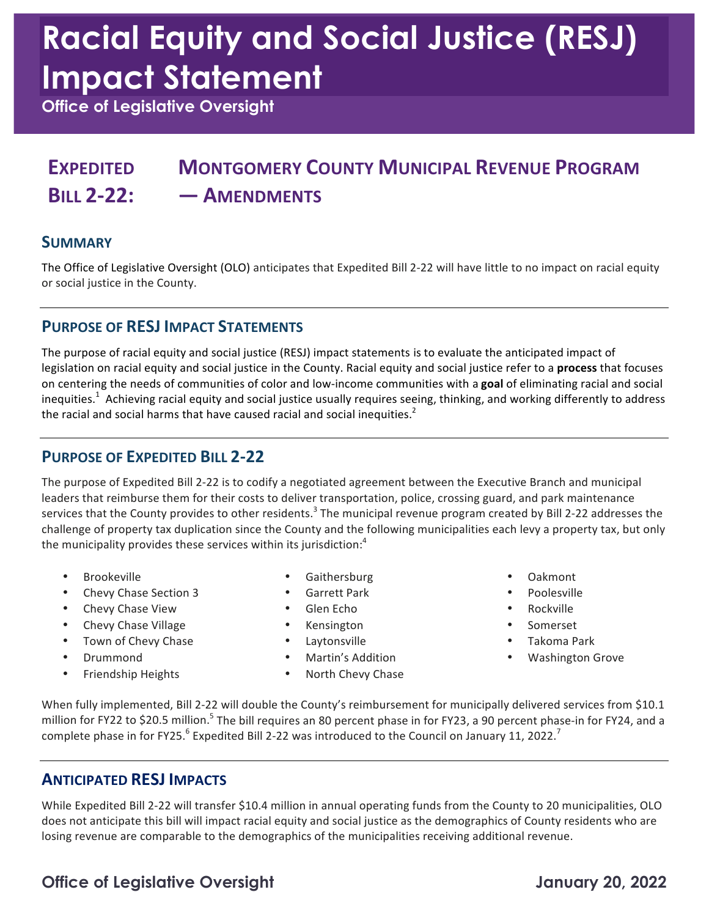# **Racial Equity and Social Justice (RESJ) Impact Statement**

 **Office of Legislative Oversight** 

### **EXPEDITED MONTGOMERY COUNTY MUNICIPAL REVENUE PROGRAM BILL 2-22: — AMENDMENTS**

#### **SUMMARY**

 The Office of Legislative Oversight (OLO) anticipates that Expedited Bill 2-22 will have little to no impact on racial equity or social justice in the County.

#### **PURPOSE OF RESJ IMPACT STATEMENTS**

The purpose of racial equity and social justice (RESJ) impact statements is to evaluate the anticipated impact of legislation on racial equity and social justice in the County. Racial equity and social justice refer to a **process** that focuses on centering the needs of communities of color and low-income communities with a goal of eliminating racial and social inequities.<sup>1</sup> Achieving racial equity and social justice usually requires seeing, thinking, and working differently to address the racial and social harms that have caused racial and social inequities.<sup>2</sup>

#### **PURPOSE OF EXPEDITED BILL 2-22**

The purpose of Expedited Bill 2-22 is to codify a negotiated agreement between the Executive Branch and municipal leaders that reimburse them for their costs to deliver transportation, police, crossing guard, and park maintenance services that the County provides to other residents.<sup>3</sup> The municipal revenue program created by Bill 2-22 addresses the challenge of property tax duplication since the County and the following municipalities each levy a property tax, but only the municipality provides these services within its jurisdiction:<sup>4</sup>

- 
- Chevy Chase Section 3 Garrett Park Colesville
- Chevy Chase View Glen Echo Glen Echo Rockville
- Chevy Chase Village **•** Kensington Chevy Chase Village Somerset
- Town of Chevy Chase • Laytonsville Takoma Park
- 
- Friendship Heights
- Brookeville Gaithersburg Oakmont
	-
	-
	-
	-
	-
	- North Chevy Chase
- 
- 
- 
- 
- 
- Drummond Martin's Addition Washington Grove

When fully implemented, Bill 2-22 will double the County's reimbursement for municipally delivered services from \$10.1 million for FY22 to \$20.5 million.<sup>5</sup> The bill requires an 80 percent phase in for FY23, a 90 percent phase-in for FY24, and a complete phase in for FY25.<sup>6</sup> Expedited Bill 2-22 was introduced to the Council on January 11, 2022.<sup>7</sup>

#### **ANTICIPATED RESJ IMPACTS**

While Expedited Bill 2-22 will transfer \$10.4 million in annual operating funds from the County to 20 municipalities, OLO does not anticipate this bill will impact racial equity and social justice as the demographics of County residents who are losing revenue are comparable to the demographics of the municipalities receiving additional revenue.

#### **Office of Legislative Oversight January 20, 2022**